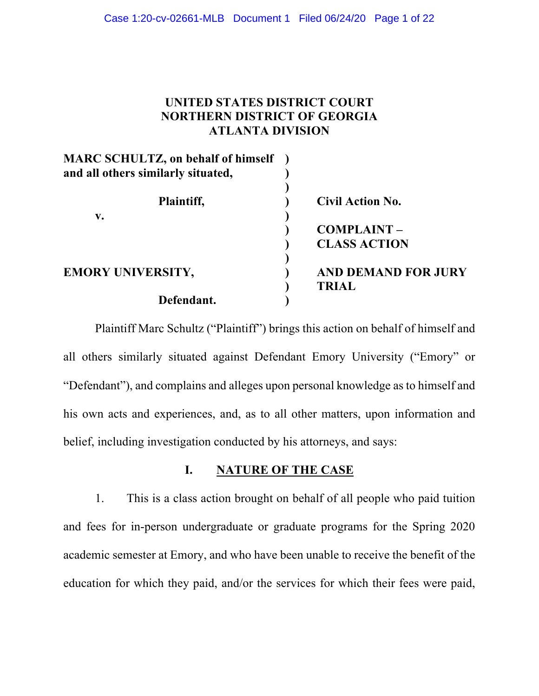# **UNITED STATES DISTRICT COURT NORTHERN DISTRICT OF GEORGIA ATLANTA DIVISION**

| <b>MARC SCHULTZ, on behalf of himself</b><br>and all others similarly situated, |                            |
|---------------------------------------------------------------------------------|----------------------------|
| Plaintiff,                                                                      | <b>Civil Action No.</b>    |
| V.                                                                              |                            |
|                                                                                 | <b>COMPLAINT-</b>          |
|                                                                                 | <b>CLASS ACTION</b>        |
| <b>EMORY UNIVERSITY,</b>                                                        | <b>AND DEMAND FOR JURY</b> |
|                                                                                 | <b>TRIAL</b>               |
| Defendant.                                                                      |                            |

Plaintiff Marc Schultz ("Plaintiff") brings this action on behalf of himself and all others similarly situated against Defendant Emory University ("Emory" or "Defendant"), and complains and alleges upon personal knowledge as to himself and his own acts and experiences, and, as to all other matters, upon information and belief, including investigation conducted by his attorneys, and says:

# **I. NATURE OF THE CASE**

1. This is a class action brought on behalf of all people who paid tuition and fees for in-person undergraduate or graduate programs for the Spring 2020 academic semester at Emory, and who have been unable to receive the benefit of the education for which they paid, and/or the services for which their fees were paid,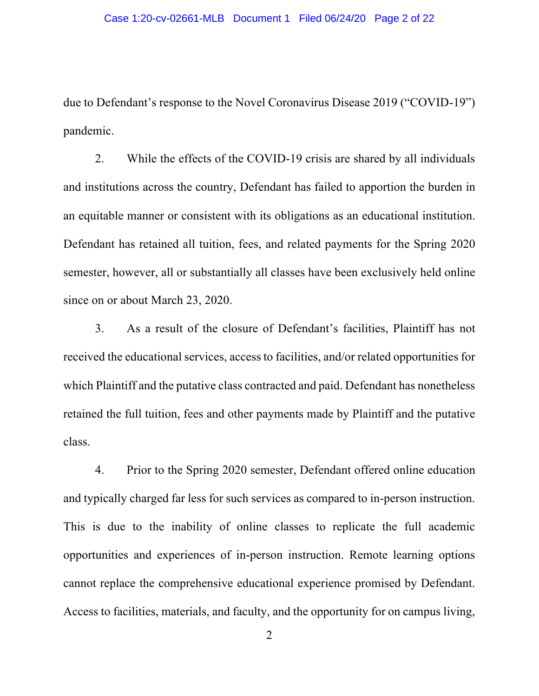due to Defendant's response to the Novel Coronavirus Disease 2019 ("COVID-19") pandemic.

2. While the effects of the COVID-19 crisis are shared by all individuals and institutions across the country, Defendant has failed to apportion the burden in an equitable manner or consistent with its obligations as an educational institution. Defendant has retained all tuition, fees, and related payments for the Spring 2020 semester, however, all or substantially all classes have been exclusively held online since on or about March 23, 2020.

3. As a result of the closure of Defendant's facilities, Plaintiff has not received the educational services, access to facilities, and/or related opportunities for which Plaintiff and the putative class contracted and paid. Defendant has nonetheless retained the full tuition, fees and other payments made by Plaintiff and the putative class.

4. Prior to the Spring 2020 semester, Defendant offered online education and typically charged far less for such services as compared to in-person instruction. This is due to the inability of online classes to replicate the full academic opportunities and experiences of in-person instruction. Remote learning options cannot replace the comprehensive educational experience promised by Defendant. Access to facilities, materials, and faculty, and the opportunity for on campus living,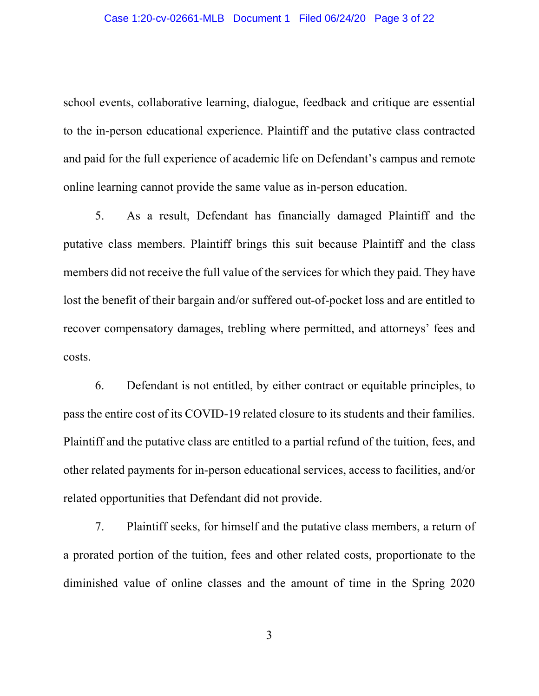school events, collaborative learning, dialogue, feedback and critique are essential to the in-person educational experience. Plaintiff and the putative class contracted and paid for the full experience of academic life on Defendant's campus and remote online learning cannot provide the same value as in-person education.

5. As a result, Defendant has financially damaged Plaintiff and the putative class members. Plaintiff brings this suit because Plaintiff and the class members did not receive the full value of the services for which they paid. They have lost the benefit of their bargain and/or suffered out-of-pocket loss and are entitled to recover compensatory damages, trebling where permitted, and attorneys' fees and costs.

6. Defendant is not entitled, by either contract or equitable principles, to pass the entire cost of its COVID-19 related closure to its students and their families. Plaintiff and the putative class are entitled to a partial refund of the tuition, fees, and other related payments for in-person educational services, access to facilities, and/or related opportunities that Defendant did not provide.

7. Plaintiff seeks, for himself and the putative class members, a return of a prorated portion of the tuition, fees and other related costs, proportionate to the diminished value of online classes and the amount of time in the Spring 2020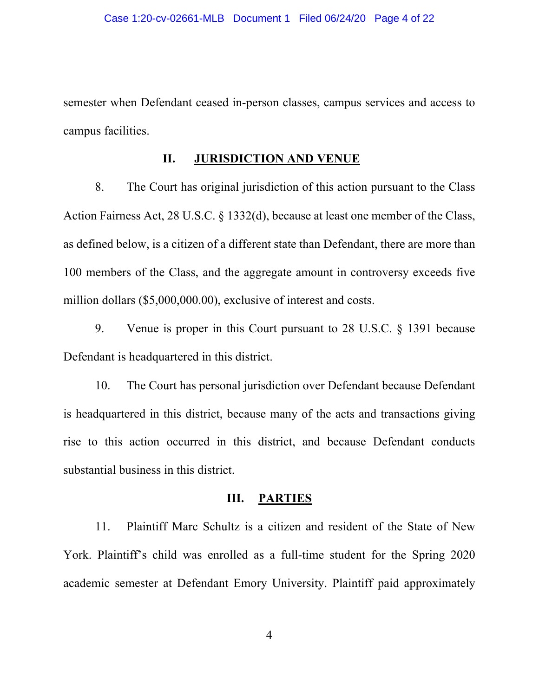semester when Defendant ceased in-person classes, campus services and access to campus facilities.

## **II. JURISDICTION AND VENUE**

8. The Court has original jurisdiction of this action pursuant to the Class Action Fairness Act, 28 U.S.C. § 1332(d), because at least one member of the Class, as defined below, is a citizen of a different state than Defendant, there are more than 100 members of the Class, and the aggregate amount in controversy exceeds five million dollars (\$5,000,000.00), exclusive of interest and costs.

9. Venue is proper in this Court pursuant to 28 U.S.C. § 1391 because Defendant is headquartered in this district.

10. The Court has personal jurisdiction over Defendant because Defendant is headquartered in this district, because many of the acts and transactions giving rise to this action occurred in this district, and because Defendant conducts substantial business in this district.

## **III. PARTIES**

11. Plaintiff Marc Schultz is a citizen and resident of the State of New York. Plaintiff's child was enrolled as a full-time student for the Spring 2020 academic semester at Defendant Emory University. Plaintiff paid approximately

4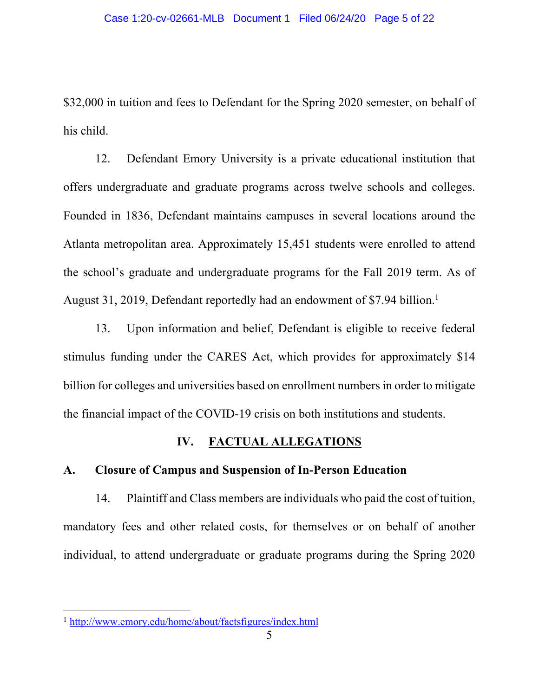\$32,000 in tuition and fees to Defendant for the Spring 2020 semester, on behalf of his child.

12. Defendant Emory University is a private educational institution that offers undergraduate and graduate programs across twelve schools and colleges. Founded in 1836, Defendant maintains campuses in several locations around the Atlanta metropolitan area. Approximately 15,451 students were enrolled to attend the school's graduate and undergraduate programs for the Fall 2019 term. As of August 31, 2019, Defendant reportedly had an endowment of \$7.94 billion.<sup>1</sup>

13. Upon information and belief, Defendant is eligible to receive federal stimulus funding under the CARES Act, which provides for approximately \$14 billion for colleges and universities based on enrollment numbers in order to mitigate the financial impact of the COVID-19 crisis on both institutions and students.

# **IV. FACTUAL ALLEGATIONS**

# **A. Closure of Campus and Suspension of In-Person Education**

14. Plaintiff and Class members are individuals who paid the cost of tuition, mandatory fees and other related costs, for themselves or on behalf of another individual, to attend undergraduate or graduate programs during the Spring 2020

<sup>1</sup> http://www.emory.edu/home/about/factsfigures/index.html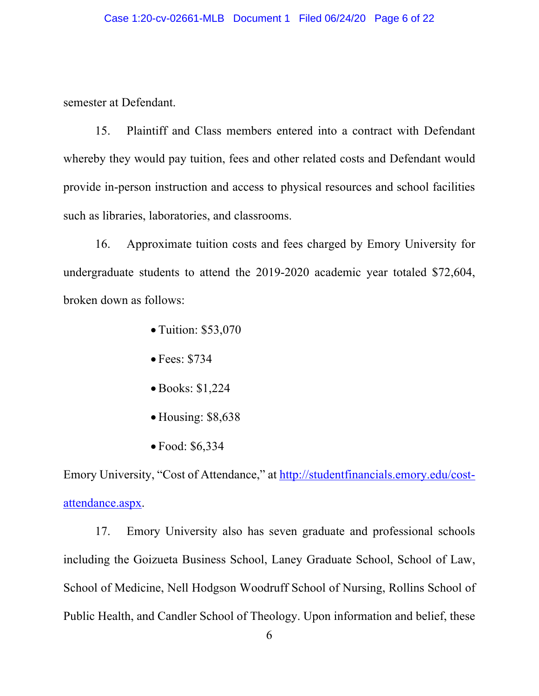semester at Defendant.

15. Plaintiff and Class members entered into a contract with Defendant whereby they would pay tuition, fees and other related costs and Defendant would provide in-person instruction and access to physical resources and school facilities such as libraries, laboratories, and classrooms.

16. Approximate tuition costs and fees charged by Emory University for undergraduate students to attend the 2019-2020 academic year totaled \$72,604, broken down as follows:

- Tuition: \$53,070
- Fees: \$734
- Books: \$1,224
- Housing: \$8,638
- Food: \$6,334

Emory University, "Cost of Attendance," at http://studentfinancials.emory.edu/costattendance.aspx.

17. Emory University also has seven graduate and professional schools including the Goizueta Business School, Laney Graduate School, School of Law, School of Medicine, Nell Hodgson Woodruff School of Nursing, Rollins School of Public Health, and Candler School of Theology. Upon information and belief, these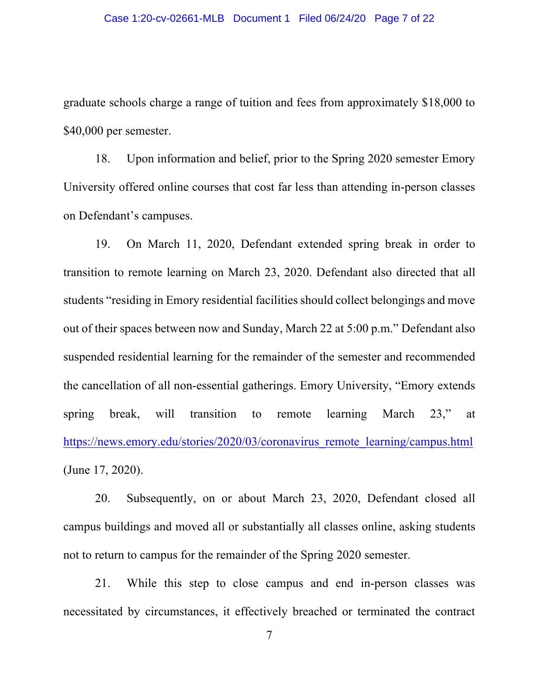graduate schools charge a range of tuition and fees from approximately \$18,000 to \$40,000 per semester.

18. Upon information and belief, prior to the Spring 2020 semester Emory University offered online courses that cost far less than attending in-person classes on Defendant's campuses.

19. On March 11, 2020, Defendant extended spring break in order to transition to remote learning on March 23, 2020. Defendant also directed that all students "residing in Emory residential facilities should collect belongings and move out of their spaces between now and Sunday, March 22 at 5:00 p.m." Defendant also suspended residential learning for the remainder of the semester and recommended the cancellation of all non-essential gatherings. Emory University, "Emory extends spring break, will transition to remote learning March 23," at https://news.emory.edu/stories/2020/03/coronavirus\_remote\_learning/campus.html (June 17, 2020).

20. Subsequently, on or about March 23, 2020, Defendant closed all campus buildings and moved all or substantially all classes online, asking students not to return to campus for the remainder of the Spring 2020 semester.

21. While this step to close campus and end in-person classes was necessitated by circumstances, it effectively breached or terminated the contract

7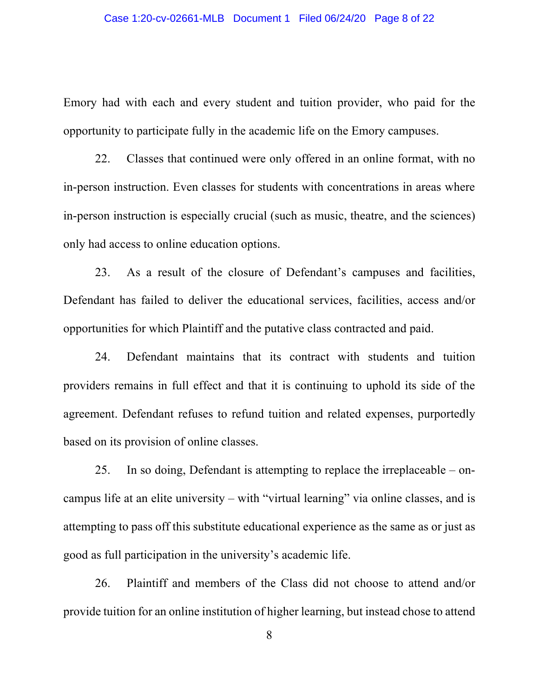Emory had with each and every student and tuition provider, who paid for the opportunity to participate fully in the academic life on the Emory campuses.

22. Classes that continued were only offered in an online format, with no in-person instruction. Even classes for students with concentrations in areas where in-person instruction is especially crucial (such as music, theatre, and the sciences) only had access to online education options.

23. As a result of the closure of Defendant's campuses and facilities, Defendant has failed to deliver the educational services, facilities, access and/or opportunities for which Plaintiff and the putative class contracted and paid.

24. Defendant maintains that its contract with students and tuition providers remains in full effect and that it is continuing to uphold its side of the agreement. Defendant refuses to refund tuition and related expenses, purportedly based on its provision of online classes.

25. In so doing, Defendant is attempting to replace the irreplaceable – oncampus life at an elite university – with "virtual learning" via online classes, and is attempting to pass off this substitute educational experience as the same as or just as good as full participation in the university's academic life.

26. Plaintiff and members of the Class did not choose to attend and/or provide tuition for an online institution of higher learning, but instead chose to attend

8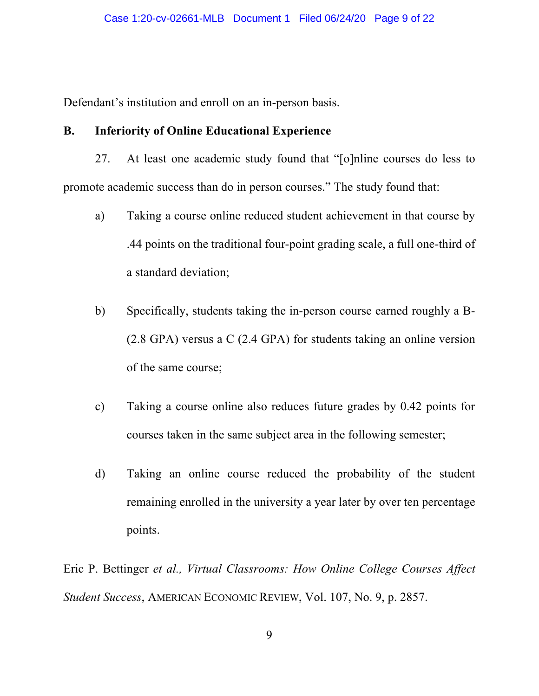Defendant's institution and enroll on an in-person basis.

# **B. Inferiority of Online Educational Experience**

- 27. At least one academic study found that "[o]nline courses do less to promote academic success than do in person courses." The study found that:
	- a) Taking a course online reduced student achievement in that course by .44 points on the traditional four-point grading scale, a full one-third of a standard deviation;
	- b) Specifically, students taking the in-person course earned roughly a B- (2.8 GPA) versus a C (2.4 GPA) for students taking an online version of the same course;
	- c) Taking a course online also reduces future grades by 0.42 points for courses taken in the same subject area in the following semester;
	- d) Taking an online course reduced the probability of the student remaining enrolled in the university a year later by over ten percentage points.

Eric P. Bettinger *et al., Virtual Classrooms: How Online College Courses Affect Student Success*, AMERICAN ECONOMIC REVIEW, Vol. 107, No. 9, p. 2857.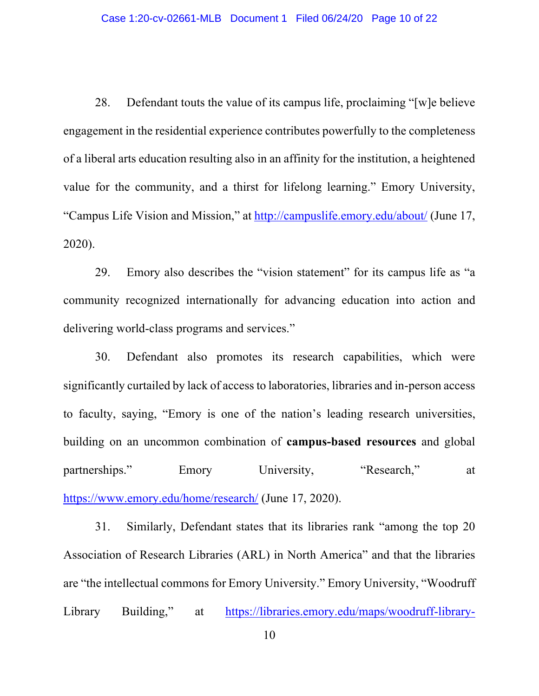28. Defendant touts the value of its campus life, proclaiming "[w]e believe engagement in the residential experience contributes powerfully to the completeness of a liberal arts education resulting also in an affinity for the institution, a heightened value for the community, and a thirst for lifelong learning." Emory University, "Campus Life Vision and Mission," at http://campuslife.emory.edu/about/ (June 17, 2020).

29. Emory also describes the "vision statement" for its campus life as "a community recognized internationally for advancing education into action and delivering world-class programs and services."

30. Defendant also promotes its research capabilities, which were significantly curtailed by lack of access to laboratories, libraries and in-person access to faculty, saying, "Emory is one of the nation's leading research universities, building on an uncommon combination of **campus-based resources** and global partnerships." Emory University, "Research," at https://www.emory.edu/home/research/ (June 17, 2020).

31. Similarly, Defendant states that its libraries rank "among the top 20 Association of Research Libraries (ARL) in North America" and that the libraries are "the intellectual commons for Emory University." Emory University, "Woodruff Library Building," at https://libraries.emory.edu/maps/woodruff-library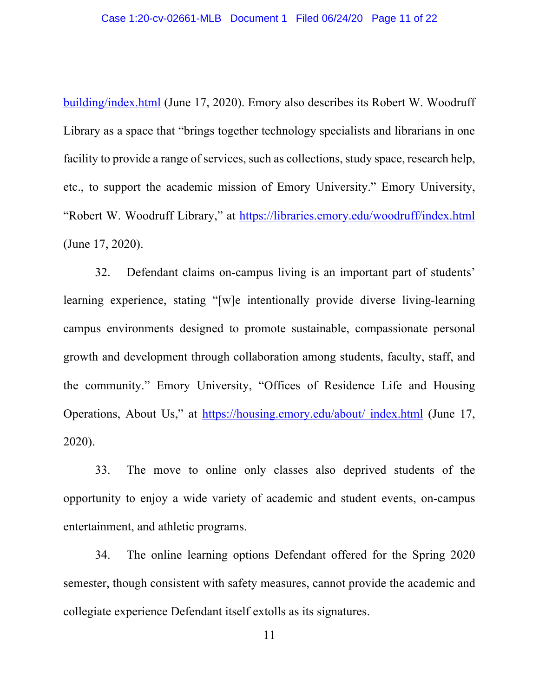building/index.html (June 17, 2020). Emory also describes its Robert W. Woodruff Library as a space that "brings together technology specialists and librarians in one facility to provide a range of services, such as collections, study space, research help, etc., to support the academic mission of Emory University." Emory University, "Robert W. Woodruff Library," at https://libraries.emory.edu/woodruff/index.html (June 17, 2020).

32. Defendant claims on-campus living is an important part of students' learning experience, stating "[w]e intentionally provide diverse living-learning campus environments designed to promote sustainable, compassionate personal growth and development through collaboration among students, faculty, staff, and the community." Emory University, "Offices of Residence Life and Housing Operations, About Us," at https://housing.emory.edu/about/ index.html (June 17, 2020).

33. The move to online only classes also deprived students of the opportunity to enjoy a wide variety of academic and student events, on-campus entertainment, and athletic programs.

34. The online learning options Defendant offered for the Spring 2020 semester, though consistent with safety measures, cannot provide the academic and collegiate experience Defendant itself extolls as its signatures.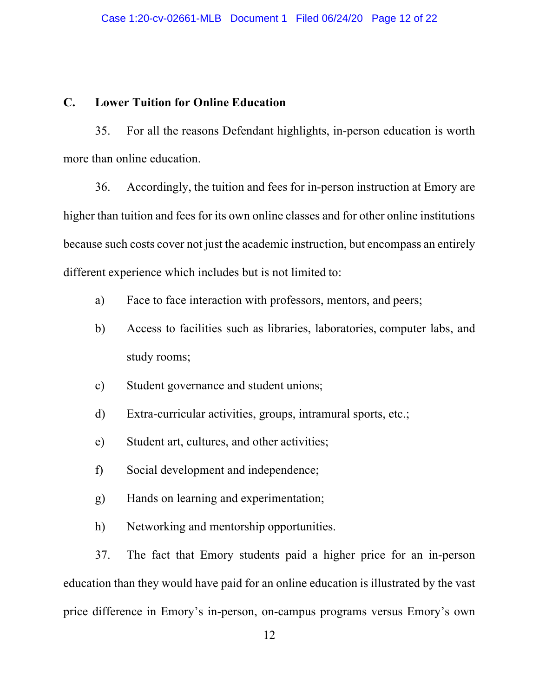## **C. Lower Tuition for Online Education**

35. For all the reasons Defendant highlights, in-person education is worth more than online education.

36. Accordingly, the tuition and fees for in-person instruction at Emory are higher than tuition and fees for its own online classes and for other online institutions because such costs cover not just the academic instruction, but encompass an entirely different experience which includes but is not limited to:

- a) Face to face interaction with professors, mentors, and peers;
- b) Access to facilities such as libraries, laboratories, computer labs, and study rooms;
- c) Student governance and student unions;
- d) Extra-curricular activities, groups, intramural sports, etc.;
- e) Student art, cultures, and other activities;
- f) Social development and independence;
- g) Hands on learning and experimentation;
- h) Networking and mentorship opportunities.

37. The fact that Emory students paid a higher price for an in-person education than they would have paid for an online education is illustrated by the vast price difference in Emory's in-person, on-campus programs versus Emory's own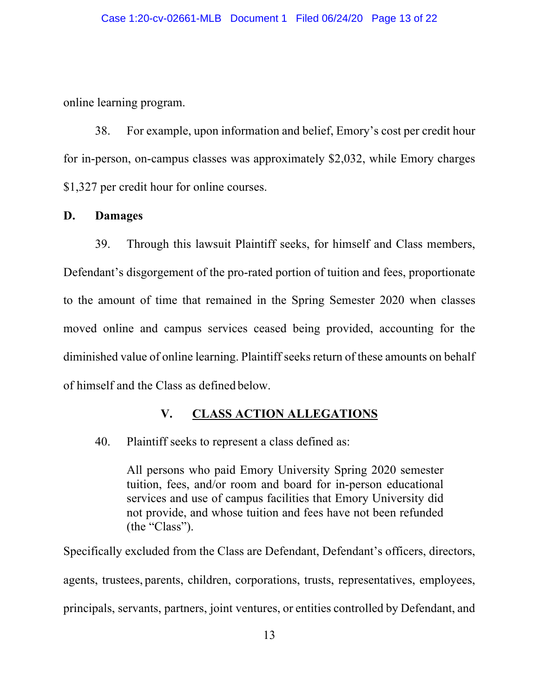online learning program.

38. For example, upon information and belief, Emory's cost per credit hour for in-person, on-campus classes was approximately \$2,032, while Emory charges \$1,327 per credit hour for online courses.

## **D. Damages**

39. Through this lawsuit Plaintiff seeks, for himself and Class members, Defendant's disgorgement of the pro-rated portion of tuition and fees, proportionate to the amount of time that remained in the Spring Semester 2020 when classes moved online and campus services ceased being provided, accounting for the diminished value of online learning. Plaintiff seeks return of these amounts on behalf of himself and the Class as defined below.

# **V. CLASS ACTION ALLEGATIONS**

# 40. Plaintiff seeks to represent a class defined as:

All persons who paid Emory University Spring 2020 semester tuition, fees, and/or room and board for in-person educational services and use of campus facilities that Emory University did not provide, and whose tuition and fees have not been refunded (the "Class").

Specifically excluded from the Class are Defendant, Defendant's officers, directors, agents, trustees, parents, children, corporations, trusts, representatives, employees, principals, servants, partners, joint ventures, or entities controlled by Defendant, and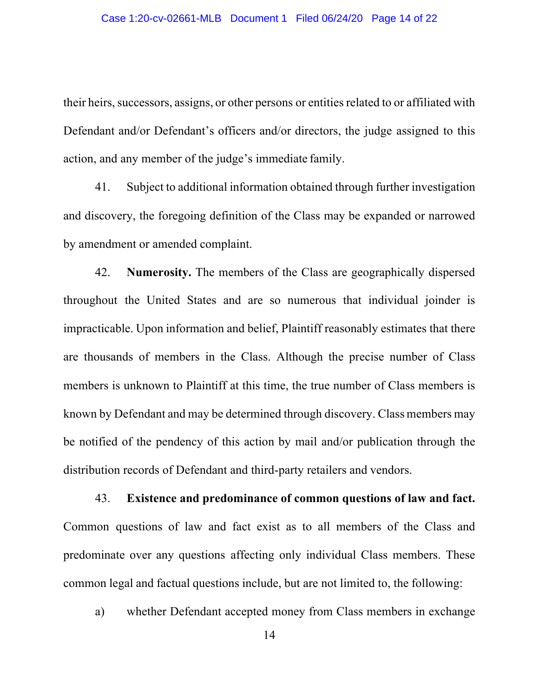their heirs, successors, assigns, or other persons or entities related to or affiliated with Defendant and/or Defendant's officers and/or directors, the judge assigned to this action, and any member of the judge's immediate family.

41. Subject to additional information obtained through further investigation and discovery, the foregoing definition of the Class may be expanded or narrowed by amendment or amended complaint.

42. **Numerosity.** The members of the Class are geographically dispersed throughout the United States and are so numerous that individual joinder is impracticable. Upon information and belief, Plaintiff reasonably estimates that there are thousands of members in the Class. Although the precise number of Class members is unknown to Plaintiff at this time, the true number of Class members is known by Defendant and may be determined through discovery. Class members may be notified of the pendency of this action by mail and/or publication through the distribution records of Defendant and third-party retailers and vendors.

43. **Existence and predominance of common questions of law and fact.**  Common questions of law and fact exist as to all members of the Class and predominate over any questions affecting only individual Class members. These common legal and factual questions include, but are not limited to, the following:

a) whether Defendant accepted money from Class members in exchange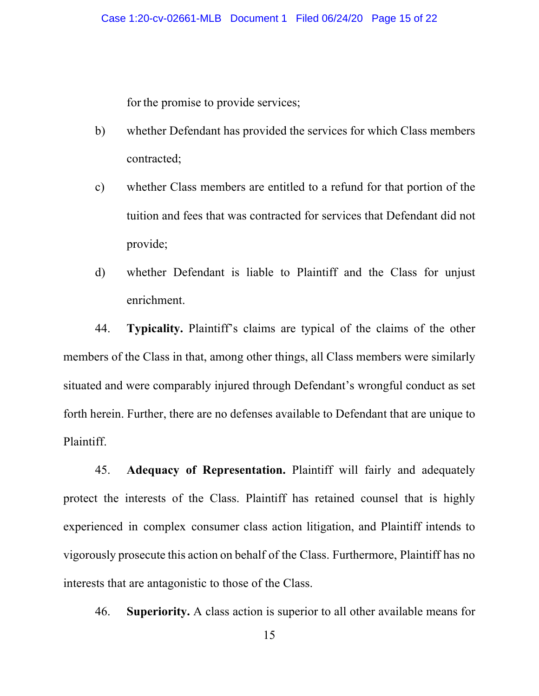for the promise to provide services;

- b) whether Defendant has provided the services for which Class members contracted;
- c) whether Class members are entitled to a refund for that portion of the tuition and fees that was contracted for services that Defendant did not provide;
- d) whether Defendant is liable to Plaintiff and the Class for unjust enrichment.

44. **Typicality.** Plaintiff's claims are typical of the claims of the other members of the Class in that, among other things, all Class members were similarly situated and were comparably injured through Defendant's wrongful conduct as set forth herein. Further, there are no defenses available to Defendant that are unique to Plaintiff.

45. **Adequacy of Representation.** Plaintiff will fairly and adequately protect the interests of the Class. Plaintiff has retained counsel that is highly experienced in complex consumer class action litigation, and Plaintiff intends to vigorously prosecute this action on behalf of the Class. Furthermore, Plaintiff has no interests that are antagonistic to those of the Class.

46. **Superiority.** A class action is superior to all other available means for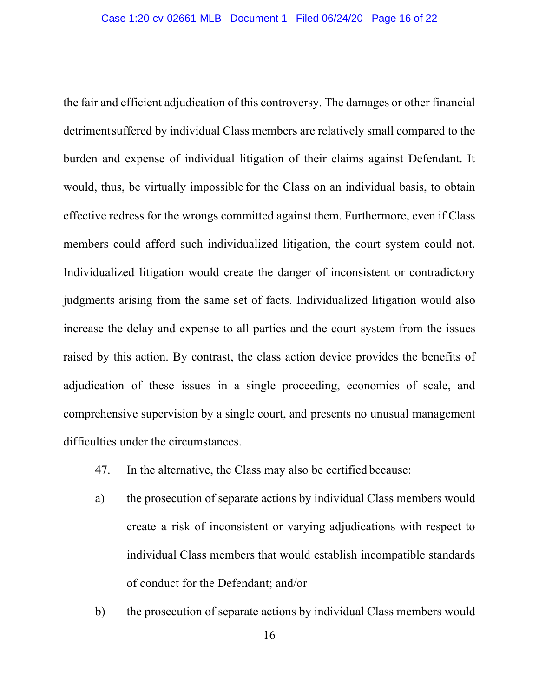the fair and efficient adjudication of this controversy. The damages or other financial detrimentsuffered by individual Class members are relatively small compared to the burden and expense of individual litigation of their claims against Defendant. It would, thus, be virtually impossible for the Class on an individual basis, to obtain effective redress for the wrongs committed against them. Furthermore, even if Class members could afford such individualized litigation, the court system could not. Individualized litigation would create the danger of inconsistent or contradictory judgments arising from the same set of facts. Individualized litigation would also increase the delay and expense to all parties and the court system from the issues raised by this action. By contrast, the class action device provides the benefits of adjudication of these issues in a single proceeding, economies of scale, and comprehensive supervision by a single court, and presents no unusual management difficulties under the circumstances.

- 47. In the alternative, the Class may also be certified because:
- a) the prosecution of separate actions by individual Class members would create a risk of inconsistent or varying adjudications with respect to individual Class members that would establish incompatible standards of conduct for the Defendant; and/or
- b) the prosecution of separate actions by individual Class members would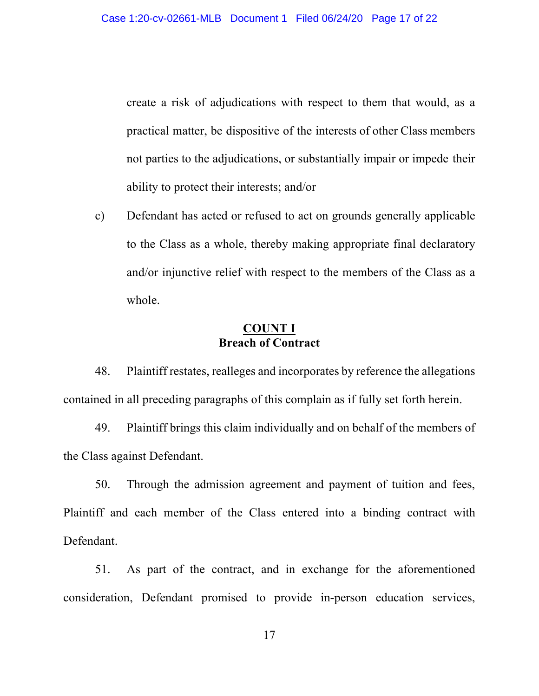create a risk of adjudications with respect to them that would, as a practical matter, be dispositive of the interests of other Class members not parties to the adjudications, or substantially impair or impede their ability to protect their interests; and/or

c) Defendant has acted or refused to act on grounds generally applicable to the Class as a whole, thereby making appropriate final declaratory and/or injunctive relief with respect to the members of the Class as a whole.

## **COUNT I Breach of Contract**

48. Plaintiff restates, realleges and incorporates by reference the allegations contained in all preceding paragraphs of this complain as if fully set forth herein.

49. Plaintiff brings this claim individually and on behalf of the members of the Class against Defendant.

50. Through the admission agreement and payment of tuition and fees, Plaintiff and each member of the Class entered into a binding contract with Defendant.

51. As part of the contract, and in exchange for the aforementioned consideration, Defendant promised to provide in-person education services,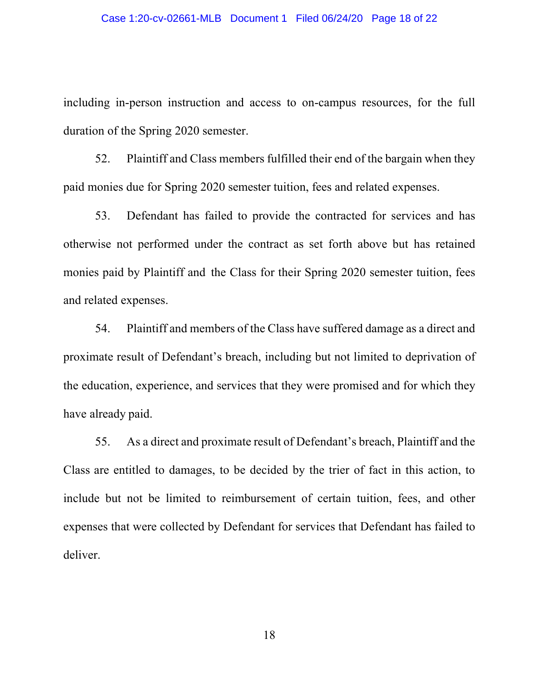#### Case 1:20-cv-02661-MLB Document 1 Filed 06/24/20 Page 18 of 22

including in-person instruction and access to on-campus resources, for the full duration of the Spring 2020 semester.

52. Plaintiff and Class members fulfilled their end of the bargain when they paid monies due for Spring 2020 semester tuition, fees and related expenses.

53. Defendant has failed to provide the contracted for services and has otherwise not performed under the contract as set forth above but has retained monies paid by Plaintiff and the Class for their Spring 2020 semester tuition, fees and related expenses.

54. Plaintiff and members of the Class have suffered damage as a direct and proximate result of Defendant's breach, including but not limited to deprivation of the education, experience, and services that they were promised and for which they have already paid.

55. As a direct and proximate result of Defendant's breach, Plaintiff and the Class are entitled to damages, to be decided by the trier of fact in this action, to include but not be limited to reimbursement of certain tuition, fees, and other expenses that were collected by Defendant for services that Defendant has failed to deliver.

18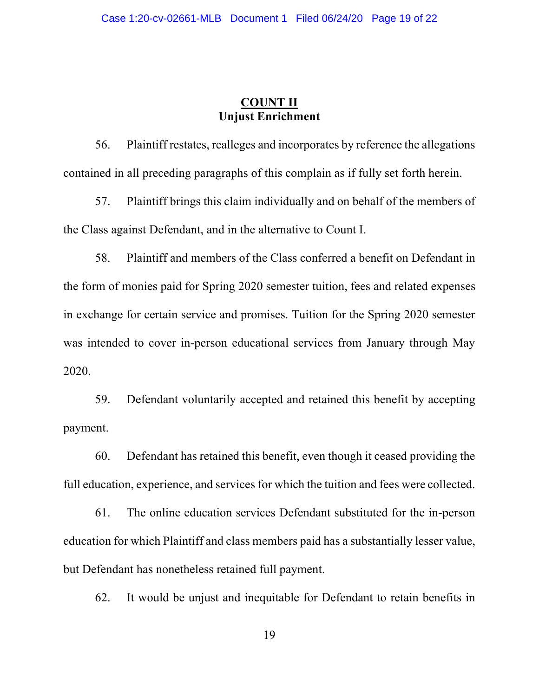# **COUNT II Unjust Enrichment**

56. Plaintiff restates, realleges and incorporates by reference the allegations contained in all preceding paragraphs of this complain as if fully set forth herein.

57. Plaintiff brings this claim individually and on behalf of the members of the Class against Defendant, and in the alternative to Count I.

58. Plaintiff and members of the Class conferred a benefit on Defendant in the form of monies paid for Spring 2020 semester tuition, fees and related expenses in exchange for certain service and promises. Tuition for the Spring 2020 semester was intended to cover in-person educational services from January through May 2020.

59. Defendant voluntarily accepted and retained this benefit by accepting payment.

60. Defendant has retained this benefit, even though it ceased providing the full education, experience, and services for which the tuition and fees were collected.

61. The online education services Defendant substituted for the in-person education for which Plaintiff and class members paid has a substantially lesser value, but Defendant has nonetheless retained full payment.

62. It would be unjust and inequitable for Defendant to retain benefits in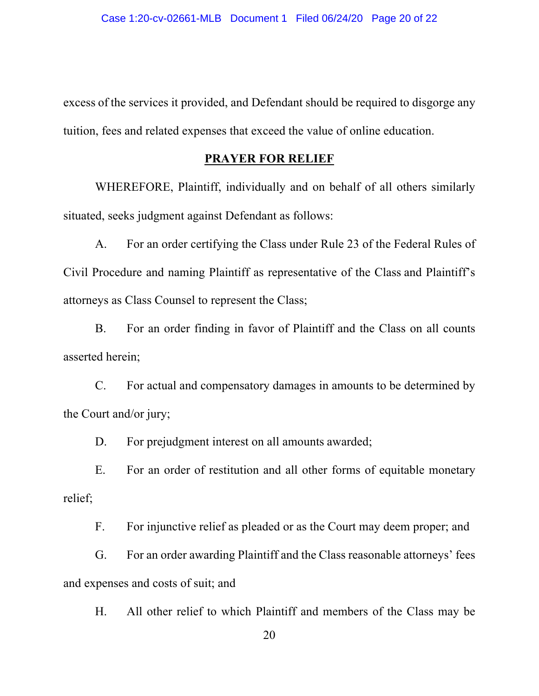excess of the services it provided, and Defendant should be required to disgorge any tuition, fees and related expenses that exceed the value of online education.

## **PRAYER FOR RELIEF**

WHEREFORE, Plaintiff, individually and on behalf of all others similarly situated, seeks judgment against Defendant as follows:

A. For an order certifying the Class under Rule 23 of the Federal Rules of Civil Procedure and naming Plaintiff as representative of the Class and Plaintiff's attorneys as Class Counsel to represent the Class;

B. For an order finding in favor of Plaintiff and the Class on all counts asserted herein;

C. For actual and compensatory damages in amounts to be determined by the Court and/or jury;

D. For prejudgment interest on all amounts awarded;

E. For an order of restitution and all other forms of equitable monetary relief;

F. For injunctive relief as pleaded or as the Court may deem proper; and

G. For an order awarding Plaintiff and the Class reasonable attorneys' fees and expenses and costs of suit; and

H. All other relief to which Plaintiff and members of the Class may be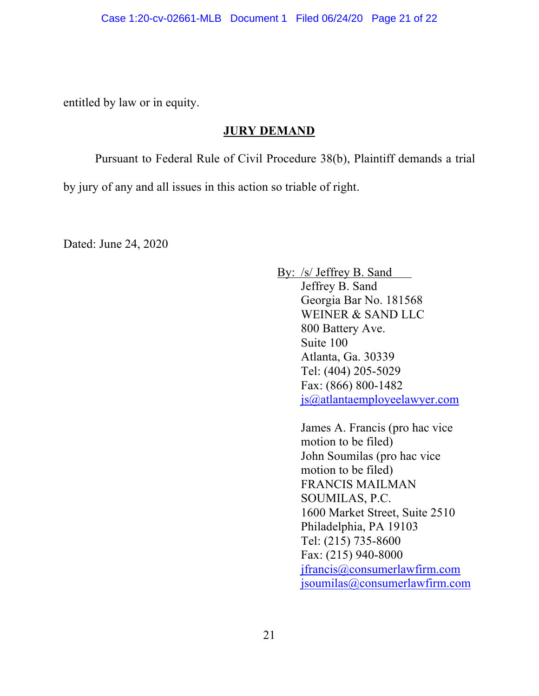entitled by law or in equity.

## **JURY DEMAND**

Pursuant to Federal Rule of Civil Procedure 38(b), Plaintiff demands a trial

by jury of any and all issues in this action so triable of right.

Dated: June 24, 2020

By: /s/ Jeffrey B. Sand Jeffrey B. Sand Georgia Bar No. 181568 WEINER & SAND LLC 800 Battery Ave. Suite 100 Atlanta, Ga. 30339 Tel: (404) 205-5029 Fax: (866) 800-1482 js@atlantaemployeelawyer.com

> James A. Francis (pro hac vice motion to be filed) John Soumilas (pro hac vice motion to be filed) FRANCIS MAILMAN SOUMILAS, P.C. 1600 Market Street, Suite 2510 Philadelphia, PA 19103 Tel: (215) 735-8600 Fax: (215) 940-8000 jfrancis@consumerlawfirm.com jsoumilas@consumerlawfirm.com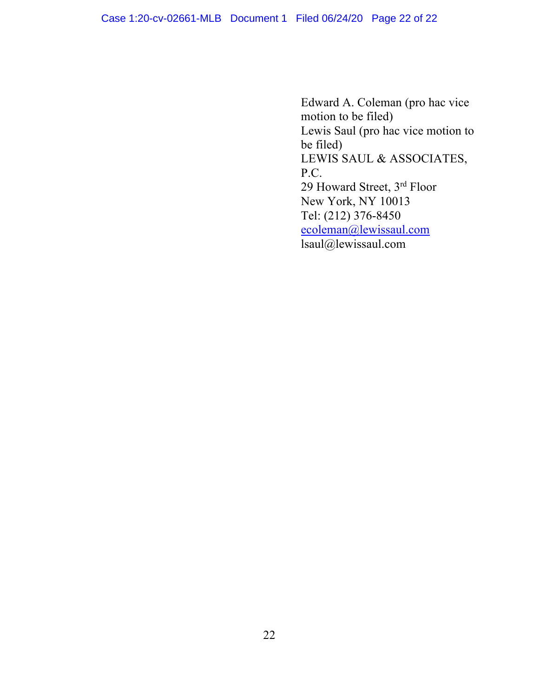Edward A. Coleman (pro hac vice motion to be filed) Lewis Saul (pro hac vice motion to be filed) LEWIS SAUL & ASSOCIATES, P.C. 29 Howard Street, 3rd Floor New York, NY 10013 Tel: (212) 376-8450 ecoleman@lewissaul.com lsaul@lewissaul.com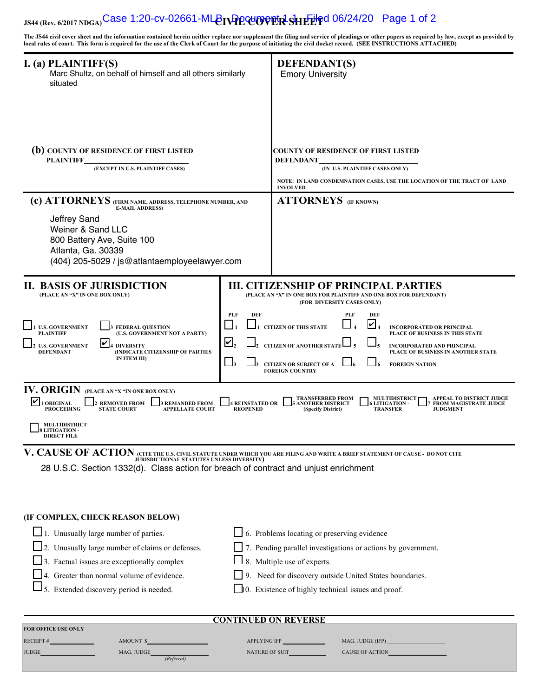# **JS44 (Rev. NDGA) CIVIL COVER SHEET** Case 1:20-cv-02661-MLB Document 1-1 Filed 06/24/20 Page 1 of 2

**The JS44 civil cover sheet and the information contained herein neither replace nor supplement the filing and service of pleadings or other papers as required by law, except as provided by local rules of court. This form is required for the use of the Clerk of Court for the purpose of initiating the civil docket record. (SEE INSTRUCTIONS ATTACHED)**

| I. (a) PLAINTIFF(S)<br>Marc Shultz, on behalf of himself and all others similarly<br>situated                                                                                                                                                                                                                   |                                                                                                                                                                                                                                                                                                                                                                                                                                      | <b>DEFENDANT(S)</b><br><b>Emory University</b>                                                                                                                                                                                                                            |  |
|-----------------------------------------------------------------------------------------------------------------------------------------------------------------------------------------------------------------------------------------------------------------------------------------------------------------|--------------------------------------------------------------------------------------------------------------------------------------------------------------------------------------------------------------------------------------------------------------------------------------------------------------------------------------------------------------------------------------------------------------------------------------|---------------------------------------------------------------------------------------------------------------------------------------------------------------------------------------------------------------------------------------------------------------------------|--|
| (b) COUNTY OF RESIDENCE OF FIRST LISTED<br><b>PLAINTIFF</b><br>(EXCEPT IN U.S. PLAINTIFF CASES)                                                                                                                                                                                                                 |                                                                                                                                                                                                                                                                                                                                                                                                                                      | COUNTY OF RESIDENCE OF FIRST LISTED<br><b>DEFENDANT</b><br>(IN U.S. PLAINTIFF CASES ONLY)<br>NOTE: IN LAND CONDEMNATION CASES, USE THE LOCATION OF THE TRACT OF LAND<br><b>INVOLVED</b>                                                                                   |  |
| (c) ATTORNEYS (FIRM NAME, ADDRESS, TELEPHONE NUMBER, AND<br><b>E-MAIL ADDRESS)</b><br>Jeffrey Sand<br>Weiner & Sand LLC<br>800 Battery Ave, Suite 100<br>Atlanta, Ga. 30339<br>(404) 205-5029 / js@atlantaemployeelawyer.com                                                                                    |                                                                                                                                                                                                                                                                                                                                                                                                                                      | <b>ATTORNEYS</b> (IF KNOWN)                                                                                                                                                                                                                                               |  |
| <b>II. BASIS OF JURISDICTION</b><br>(PLACE AN "X" IN ONE BOX ONLY)                                                                                                                                                                                                                                              |                                                                                                                                                                                                                                                                                                                                                                                                                                      | <b>III. CITIZENSHIP OF PRINCIPAL PARTIES</b><br>(PLACE AN "X" IN ONE BOX FOR PLAINTIFF AND ONE BOX FOR DEFENDANT)<br>(FOR DIVERSITY CASES ONLY)                                                                                                                           |  |
| <b>U.S. GOVERNMENT</b><br><b>FEDERAL QUESTION</b><br>(U.S. GOVERNMENT NOT A PARTY)<br><b>PLAINTIFF</b><br>∣✔∣<br><b>U.S. GOVERNMENT</b><br><b>4 DIVERSITY</b><br>(INDICATE CITIZENSHIP OF PARTIES<br><b>DEFENDANT</b><br>IN ITEM III)                                                                           | <b>PLF</b><br><b>DEF</b><br>PLF<br>DEF<br>$\overline{v} _{\scriptscriptstyle 4}$<br><b>CITIZEN OF THIS STATE</b><br><b>INCORPORATED OR PRINCIPAL</b><br>PLACE OF BUSINESS IN THIS STATE<br>$\boldsymbol{\mathsf{L}},$<br><b>CITIZEN OF ANOTHER STATE</b><br><b>INCORPORATED AND PRINCIPAL</b><br>PLACE OF BUSINESS IN ANOTHER STATE<br>$\Box$ 3<br><b>CITIZEN OR SUBJECT OF A</b><br><b>FOREIGN NATION</b><br><b>FOREIGN COUNTRY</b> |                                                                                                                                                                                                                                                                           |  |
| IV. ORIGIN (PLACE AN "X "IN ONE BOX ONLY)<br>IV<br><b>ORIGINAL</b><br><b>REMOVED FROM</b><br><b>3 REMANDED FROM</b><br><b>PROCEEDING</b><br><b>STATE COURT</b><br><b>APPELLATE COURT</b><br><b>MULTIDISTRICT</b>                                                                                                | <b>4 REINSTATED OR</b><br><b>REOPENED</b>                                                                                                                                                                                                                                                                                                                                                                                            | <b>TRANSFERRED FROM</b><br><b>MULTIDISTRICT</b><br>APPEAL TO DISTRICT JUDGE<br><b>ANOTHER DISTRICT</b><br><b>LITIGATION -</b><br><b>FROM MAGISTRATE JUDGE</b><br><b>TRANSFER</b><br><b>JUDGMENT</b><br>(Specify District)                                                 |  |
| <b>LITIGATION -</b><br><b>DIRECT FILE</b><br>V. CAUSE OF ACTION (CITE THE U.S. CIVIL STATUTE UNDER WHICH YOU ARE FILING AND WRITE A BRIEF STATEMENT OF CAUSE - DO NOT CITE<br>JURISDICTIONAL STATUTES UNLESS DIVERSITY)<br>28 U.S.C. Section 1332(d). Class action for breach of contract and unjust enrichment |                                                                                                                                                                                                                                                                                                                                                                                                                                      |                                                                                                                                                                                                                                                                           |  |
| (IF COMPLEX, CHECK REASON BELOW)<br>$\Box$ 1. Unusually large number of parties.<br>$\Box$ 2. Unusually large number of claims or defenses.<br>$\Box$ 3. Factual issues are exceptionally complex<br>4. Greater than normal volume of evidence.<br>5. Extended discovery period is needed.                      |                                                                                                                                                                                                                                                                                                                                                                                                                                      | $\Box$ 6. Problems locating or preserving evidence<br>7. Pending parallel investigations or actions by government.<br>8. Multiple use of experts.<br>9. Need for discovery outside United States boundaries.<br>$\Box$ 0. Existence of highly technical issues and proof. |  |
| <b>CONTINUED ON REVERSE</b><br>FOR OFFICE USE ONLY                                                                                                                                                                                                                                                              |                                                                                                                                                                                                                                                                                                                                                                                                                                      |                                                                                                                                                                                                                                                                           |  |
| RECEIPT#<br>AMOUNT \$<br>JUDGE <b>AND RESERVE TO A STATE OF PROPERTY</b><br>MAG. JUDGE (Referral)                                                                                                                                                                                                               |                                                                                                                                                                                                                                                                                                                                                                                                                                      | MAG. JUDGE (IFP) $\_$<br>NATURE OF SUIT<br>CAUSE OF ACTION                                                                                                                                                                                                                |  |